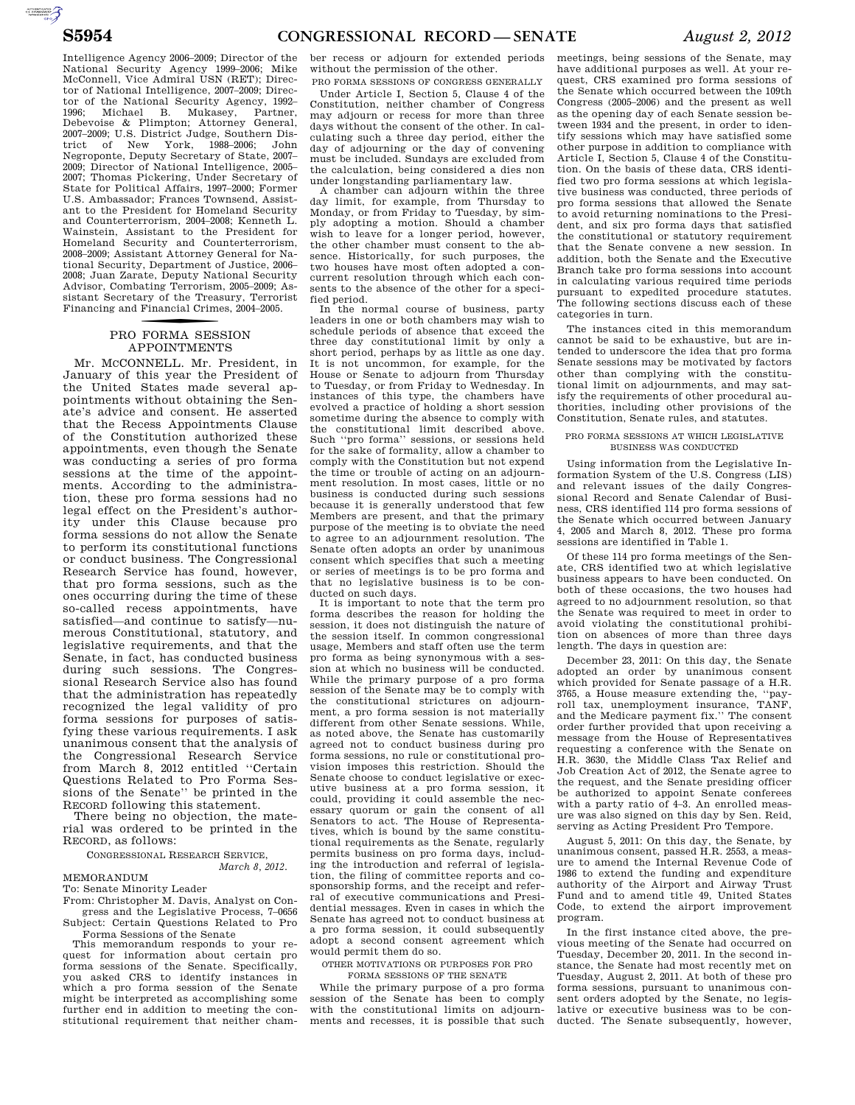**AUTOROUGHTER** 

Intelligence Agency 2006–2009; Director of the National Security Agency 1999–2006; Mike McConnell, Vice Admiral USN (RET); Director of National Intelligence, 2007–2009; Director of the National Security Agency, 1992– 1996; Michael B. Mukasey, Partner, Debevoise & Plimpton; Attorney General, 2007–2009; U.S. District Judge, Southern District of New York, 1988–2006; John Negroponte, Deputy Secretary of State, 2007– 2009; Director of National Intelligence, 2005– 2007; Thomas Pickering, Under Secretary of State for Political Affairs, 1997–2000; Former U.S. Ambassador; Frances Townsend, Assistant to the President for Homeland Security and Counterterrorism, 2004–2008; Kenneth L. Wainstein, Assistant to the President for Homeland Security and Counterterrorism, 2008–2009; Assistant Attorney General for National Security, Department of Justice, 2006– 2008; Juan Zarate, Deputy National Security Advisor, Combating Terrorism, 2005–2009; Assistant Secretary of the Treasury, Terrorist Financing and Financial Crimes, 2004–2005.

## PRO FORMA SESSION APPOINTMENTS

Mr. MCCONNELL. Mr. President, in January of this year the President of the United States made several appointments without obtaining the Senate's advice and consent. He asserted that the Recess Appointments Clause of the Constitution authorized these appointments, even though the Senate was conducting a series of pro forma sessions at the time of the appointments. According to the administration, these pro forma sessions had no legal effect on the President's authority under this Clause because pro forma sessions do not allow the Senate to perform its constitutional functions or conduct business. The Congressional Research Service has found, however, that pro forma sessions, such as the ones occurring during the time of these so-called recess appointments, have satisfied—and continue to satisfy—numerous Constitutional, statutory, and legislative requirements, and that the Senate, in fact, has conducted business during such sessions. The Congressional Research Service also has found that the administration has repeatedly recognized the legal validity of pro forma sessions for purposes of satisfying these various requirements. I ask unanimous consent that the analysis of the Congressional Research Service from March 8, 2012 entitled ''Certain Questions Related to Pro Forma Sessions of the Senate'' be printed in the RECORD following this statement.

There being no objection, the material was ordered to be printed in the RECORD, as follows:

CONGRESSIONAL RESEARCH SERVICE,

*March 8, 2012.* 

MEMORANDUM

To: Senate Minority Leader

From: Christopher M. Davis, Analyst on Congress and the Legislative Process, 7–0656 Subject: Certain Questions Related to Pro

Forma Sessions of the Senate This memorandum responds to your re-

quest for information about certain pro forma sessions of the Senate. Specifically, you asked CRS to identify instances in which a pro forma session of the Senate might be interpreted as accomplishing some further end in addition to meeting the constitutional requirement that neither chamber recess or adjourn for extended periods without the permission of the other.

PRO FORMA SESSIONS OF CONGRESS GENERALLY Under Article I, Section 5, Clause 4 of the Constitution, neither chamber of Congress may adjourn or recess for more than three days without the consent of the other. In calculating such a three day period, either the day of adjourning or the day of convening must be included. Sundays are excluded from the calculation, being considered a dies non under longstanding parliamentary law.

A chamber can adjourn within the three day limit, for example, from Thursday to Monday, or from Friday to Tuesday, by simply adopting a motion. Should a chamber wish to leave for a longer period, however, the other chamber must consent to the absence. Historically, for such purposes, the two houses have most often adopted a concurrent resolution through which each consents to the absence of the other for a specified period.

In the normal course of business, party leaders in one or both chambers may wish to schedule periods of absence that exceed the three day constitutional limit by only a short period, perhaps by as little as one day. It is not uncommon, for example, for the House or Senate to adjourn from Thursday to Tuesday, or from Friday to Wednesday. In instances of this type, the chambers have evolved a practice of holding a short session sometime during the absence to comply with the constitutional limit described above. Such ''pro forma'' sessions, or sessions held for the sake of formality, allow a chamber to comply with the Constitution but not expend the time or trouble of acting on an adjournment resolution. In most cases, little or no business is conducted during such sessions because it is generally understood that few Members are present, and that the primary purpose of the meeting is to obviate the need to agree to an adjournment resolution. The Senate often adopts an order by unanimous consent which specifies that such a meeting or series of meetings is to be pro forma and that no legislative business is to be conducted on such days.

It is important to note that the term pro forma describes the reason for holding the session, it does not distinguish the nature of the session itself. In common congressional usage, Members and staff often use the term pro forma as being synonymous with a session at which no business will be conducted. While the primary purpose of a pro forma session of the Senate may be to comply with the constitutional strictures on adjournment, a pro forma session is not materially different from other Senate sessions. While, as noted above, the Senate has customarily agreed not to conduct business during pro forma sessions, no rule or constitutional provision imposes this restriction. Should the Senate choose to conduct legislative or executive business at a pro forma session, it could, providing it could assemble the necessary quorum or gain the consent of all Senators to act. The House of Representatives, which is bound by the same constitutional requirements as the Senate, regularly permits business on pro forma days, including the introduction and referral of legislation, the filing of committee reports and cosponsorship forms, and the receipt and referral of executive communications and Presidential messages. Even in cases in which the Senate has agreed not to conduct business at a pro forma session, it could subsequently adopt a second consent agreement which would permit them do so.

OTHER MOTIVATIONS OR PURPOSES FOR PRO FORMA SESSIONS OF THE SENATE

While the primary purpose of a pro forma session of the Senate has been to comply with the constitutional limits on adjournments and recesses, it is possible that such

meetings, being sessions of the Senate, may have additional purposes as well. At your request, CRS examined pro forma sessions of the Senate which occurred between the 109th Congress (2005–2006) and the present as well as the opening day of each Senate session between 1934 and the present, in order to identify sessions which may have satisfied some other purpose in addition to compliance with Article I, Section 5, Clause 4 of the Constitution. On the basis of these data, CRS identified two pro forma sessions at which legislative business was conducted, three periods of pro forma sessions that allowed the Senate to avoid returning nominations to the President, and six pro forma days that satisfied the constitutional or statutory requirement that the Senate convene a new session. In addition, both the Senate and the Executive Branch take pro forma sessions into account in calculating various required time periods pursuant to expedited procedure statutes. The following sections discuss each of these categories in turn.

The instances cited in this memorandum cannot be said to be exhaustive, but are intended to underscore the idea that pro forma Senate sessions may be motivated by factors other than complying with the constitutional limit on adjournments, and may satisfy the requirements of other procedural authorities, including other provisions of the Constitution, Senate rules, and statutes.

#### PRO FORMA SESSIONS AT WHICH LEGISLATIVE BUSINESS WAS CONDUCTED

Using information from the Legislative Information System of the U.S. Congress (LIS) and relevant issues of the daily Congressional Record and Senate Calendar of Business, CRS identified 114 pro forma sessions of the Senate which occurred between January 4, 2005 and March 8, 2012. These pro forma sessions are identified in Table 1.

Of these 114 pro forma meetings of the Senate, CRS identified two at which legislative business appears to have been conducted. On both of these occasions, the two houses had agreed to no adjournment resolution, so that the Senate was required to meet in order to avoid violating the constitutional prohibition on absences of more than three days length. The days in question are:

December 23, 2011: On this day, the Senate adopted an order by unanimous consent which provided for Senate passage of a H.R. 3765, a House measure extending the, ''pay-roll tax, unemployment insurance, TANF, and the Medicare payment fix.'' The consent order further provided that upon receiving a message from the House of Representatives requesting a conference with the Senate on H.R. 3630, the Middle Class Tax Relief and Job Creation Act of 2012, the Senate agree to the request, and the Senate presiding officer be authorized to appoint Senate conferees with a party ratio of 4–3. An enrolled measure was also signed on this day by Sen. Reid, serving as Acting President Pro Tempore.

August 5, 2011: On this day, the Senate, by unanimous consent, passed H.R. 2553, a measure to amend the Internal Revenue Code of 1986 to extend the funding and expenditure authority of the Airport and Airway Trust Fund and to amend title 49, United States Code, to extend the airport improvement program.

In the first instance cited above, the previous meeting of the Senate had occurred on Tuesday, December 20, 2011. In the second instance, the Senate had most recently met on Tuesday, August 2, 2011. At both of these pro forma sessions, pursuant to unanimous consent orders adopted by the Senate, no legislative or executive business was to be conducted. The Senate subsequently, however,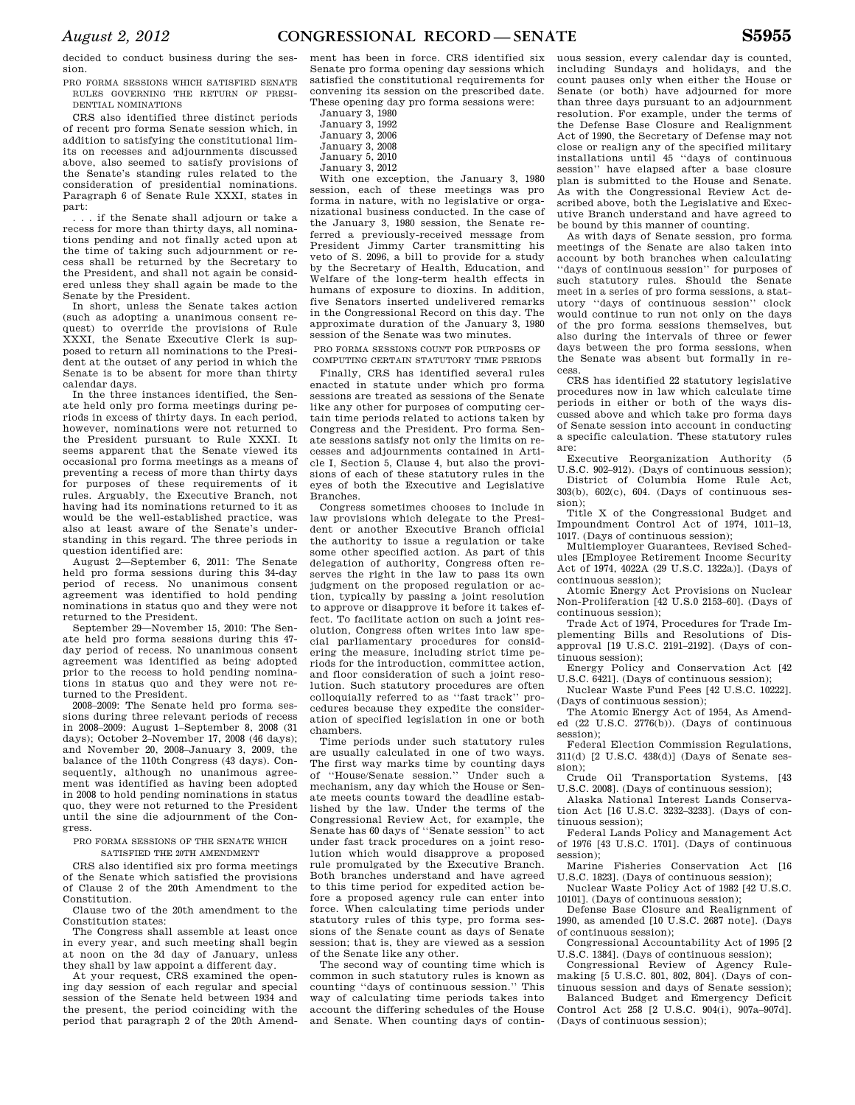decided to conduct business during the session.

PRO FORMA SESSIONS WHICH SATISFIED SENATE RULES GOVERNING THE RETURN OF PRESI-DENTIAL NOMINATIONS

CRS also identified three distinct periods of recent pro forma Senate session which, in addition to satisfying the constitutional limits on recesses and adjournments discussed above, also seemed to satisfy provisions of the Senate's standing rules related to the consideration of presidential nominations. Paragraph 6 of Senate Rule XXXI, states in part:

. . . if the Senate shall adjourn or take a recess for more than thirty days, all nominations pending and not finally acted upon at the time of taking such adjournment or recess shall be returned by the Secretary to the President, and shall not again be considered unless they shall again be made to the Senate by the President.

In short, unless the Senate takes action (such as adopting a unanimous consent request) to override the provisions of Rule XXXI, the Senate Executive Clerk is supposed to return all nominations to the President at the outset of any period in which the Senate is to be absent for more than thirty calendar days.

In the three instances identified, the Senate held only pro forma meetings during periods in excess of thirty days. In each period, however, nominations were not returned to the President pursuant to Rule XXXI. It seems apparent that the Senate viewed its occasional pro forma meetings as a means of preventing a recess of more than thirty days for purposes of these requirements of it rules. Arguably, the Executive Branch, not having had its nominations returned to it as would be the well-established practice, was also at least aware of the Senate's understanding in this regard. The three periods in question identified are:

August 2—September 6, 2011: The Senate held pro forma sessions during this 34-day period of recess. No unanimous consent agreement was identified to hold pending nominations in status quo and they were not returned to the President.

September 29—November 15, 2010: The Senate held pro forma sessions during this 47 day period of recess. No unanimous consent agreement was identified as being adopted prior to the recess to hold pending nominations in status quo and they were not returned to the President.

2008–2009: The Senate held pro forma sessions during three relevant periods of recess in 2008–2009: August 1–September 8, 2008 (31 days); October 2–November 17, 2008 (46 days); and November 20, 2008–January 3, 2009, the balance of the 110th Congress (43 days). Consequently, although no unanimous agreement was identified as having been adopted in 2008 to hold pending nominations in status quo, they were not returned to the President until the sine die adjournment of the Congress.

PRO FORMA SESSIONS OF THE SENATE WHICH SATISFIED THE 20TH AMENDMENT

CRS also identified six pro forma meetings of the Senate which satisfied the provisions of Clause 2 of the 20th Amendment to the Constitution.

Clause two of the 20th amendment to the Constitution states:

The Congress shall assemble at least once in every year, and such meeting shall begin at noon on the 3d day of January, unless they shall by law appoint a different day.

At your request, CRS examined the opening day session of each regular and special session of the Senate held between 1934 and the present, the period coinciding with the period that paragraph 2 of the 20th Amend-

ment has been in force. CRS identified six Senate pro forma opening day sessions which satisfied the constitutional requirements for convening its session on the prescribed date. These opening day pro forma sessions were:

January 3, 1980 January 3, 1992 January 3, 2006 January 3, 2008 January 5, 2010

January 3, 2012

With one exception, the January 3, 1980 session, each of these meetings was pro forma in nature, with no legislative or organizational business conducted. In the case of the January 3, 1980 session, the Senate referred a previously-received message from President Jimmy Carter transmitting his veto of S. 2096, a bill to provide for a study by the Secretary of Health, Education, and Welfare of the long-term health effects in humans of exposure to dioxins. In addition, five Senators inserted undelivered remarks in the Congressional Record on this day. The approximate duration of the January 3, 1980 session of the Senate was two minutes.

PRO FORMA SESSIONS COUNT FOR PURPOSES OF COMPUTING CERTAIN STATUTORY TIME PERIODS

Finally, CRS has identified several rules enacted in statute under which pro forma sessions are treated as sessions of the Senate like any other for purposes of computing certain time periods related to actions taken by Congress and the President. Pro forma Senate sessions satisfy not only the limits on recesses and adjournments contained in Article I, Section 5, Clause 4, but also the provisions of each of these statutory rules in the eyes of both the Executive and Legislative Branches.

Congress sometimes chooses to include in law provisions which delegate to the President or another Executive Branch official the authority to issue a regulation or take some other specified action. As part of this delegation of authority, Congress often reserves the right in the law to pass its own judgment on the proposed regulation or action, typically by passing a joint resolution to approve or disapprove it before it takes effect. To facilitate action on such a joint resolution, Congress often writes into law special parliamentary procedures for considering the measure, including strict time periods for the introduction, committee action, and floor consideration of such a joint resolution. Such statutory procedures are often colloquially referred to as ''fast track'' procedures because they expedite the consideration of specified legislation in one or both chambers.

Time periods under such statutory rules are usually calculated in one of two ways. The first way marks time by counting days of ''House/Senate session.'' Under such a mechanism, any day which the House or Senate meets counts toward the deadline established by the law. Under the terms of the Congressional Review Act, for example, the Senate has 60 days of ''Senate session'' to act under fast track procedures on a joint resolution which would disapprove a proposed rule promulgated by the Executive Branch. Both branches understand and have agreed to this time period for expedited action before a proposed agency rule can enter into force. When calculating time periods under statutory rules of this type, pro forma sessions of the Senate count as days of Senate session; that is, they are viewed as a session of the Senate like any other.

The second way of counting time which is common in such statutory rules is known as counting ''days of continuous session.'' This way of calculating time periods takes into account the differing schedules of the House and Senate. When counting days of contin-

uous session, every calendar day is counted, including Sundays and holidays, and the count pauses only when either the House or Senate (or both) have adjourned for more than three days pursuant to an adjournment resolution. For example, under the terms of the Defense Base Closure and Realignment Act of 1990, the Secretary of Defense may not close or realign any of the specified military installations until 45 ''days of continuous session'' have elapsed after a base closure plan is submitted to the House and Senate. As with the Congressional Review Act described above, both the Legislative and Executive Branch understand and have agreed to be bound by this manner of counting.

As with days of Senate session, pro forma meetings of the Senate are also taken into account by both branches when calculating ''days of continuous session'' for purposes of such statutory rules. Should the Senate meet in a series of pro forma sessions, a statutory ''days of continuous session'' clock would continue to run not only on the days of the pro forma sessions themselves, but also during the intervals of three or fewer days between the pro forma sessions, when the Senate was absent but formally in recess.

CRS has identified 22 statutory legislative procedures now in law which calculate time periods in either or both of the ways discussed above and which take pro forma days of Senate session into account in conducting a specific calculation. These statutory rules are:

Executive Reorganization Authority (5 U.S.C. 902–912). (Days of continuous session); District of Columbia Home Rule Act,

303(b), 602(c), 604. (Days of continuous session);

Title X of the Congressional Budget and Impoundment Control Act of 1974, 1011–13, 1017. (Days of continuous session);

Multiemployer Guarantees, Revised Schedules [Employee Retirement Income Security Act of 1974, 4022A (29 U.S.C. 1322a)]. (Days of continuous session);

Atomic Energy Act Provisions on Nuclear Non-Proliferation [42 U.S.0 2153–60]. (Days of continuous session);

Trade Act of 1974, Procedures for Trade Implementing Bills and Resolutions of Disapproval [19 U.S.C. 2191–2192]. (Days of continuous session);

Energy Policy and Conservation Act [42 U.S.C. 6421]. (Days of continuous session);

Nuclear Waste Fund Fees [42 U.S.C. 10222]. (Days of continuous session);

The Atomic Energy Act of 1954, As Amended (22 U.S.C. 2776(b)). (Days of continuous session):

Federal Election Commission Regulations, 311(d) [2 U.S.C. 438(d)] (Days of Senate ses-

sion); Oil Transportation Systems, [43] U.S.C. 2008]. (Days of continuous session);

Alaska National Interest Lands Conservation Act [16 U.S.C. 3232–3233]. (Days of continuous session);

Federal Lands Policy and Management Act of 1976 [43 U.S.C. 1701]. (Days of continuous session);

Marine Fisheries Conservation Act [16 U.S.C. 1823]. (Days of continuous session);

Nuclear Waste Policy Act of 1982 [42 U.S.C. 10101]. (Days of continuous session);

Defense Base Closure and Realignment of 1990, as amended [10 U.S.C. 2687 note]. (Days of continuous session);

Congressional Accountability Act of 1995 [2 U.S.C. 1384]. (Days of continuous session);

Congressional Review of Agency Rulemaking [5 U.S.C. 801, 802, 804]. (Days of continuous session and days of Senate session);

Balanced Budget and Emergency Deficit Control Act 258 [2 U.S.C. 904(i), 907a–907d]. (Days of continuous session);